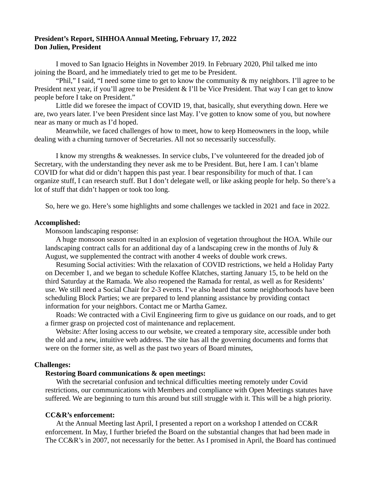## **President's Report, SIHHOA Annual Meeting, February 17, 2022 Don Julien, President**

I moved to San Ignacio Heights in November 2019. In February 2020, Phil talked me into joining the Board, and he immediately tried to get me to be President.

"Phil," I said, "I need some time to get to know the community & my neighbors. I'll agree to be President next year, if you'll agree to be President & I'll be Vice President. That way I can get to know people before I take on President."

Little did we foresee the impact of COVID 19, that, basically, shut everything down. Here we are, two years later. I've been President since last May. I've gotten to know some of you, but nowhere near as many or much as I'd hoped.

Meanwhile, we faced challenges of how to meet, how to keep Homeowners in the loop, while dealing with a churning turnover of Secretaries. All not so necessarily successfully.

I know my strengths & weaknesses. In service clubs, I've volunteered for the dreaded job of Secretary, with the understanding they never ask me to be President. But, here I am. I can't blame COVID for what did or didn't happen this past year. I bear responsibility for much of that. I can organize stuff, I can research stuff. But I don't delegate well, or like asking people for help. So there's a lot of stuff that didn't happen or took too long.

So, here we go. Here's some highlights and some challenges we tackled in 2021 and face in 2022.

#### **Accomplished:**

Monsoon landscaping response:

A huge monsoon season resulted in an explosion of vegetation throughout the HOA. While our landscaping contract calls for an additional day of a landscaping crew in the months of July & August, we supplemented the contract with another 4 weeks of double work crews.

Resuming Social activities: With the relaxation of COVID restrictions, we held a Holiday Party on December 1, and we began to schedule Koffee Klatches, starting January 15, to be held on the third Saturday at the Ramada. We also reopened the Ramada for rental, as well as for Residents' use. We still need a Social Chair for 2-3 events. I've also heard that some neighborhoods have been scheduling Block Parties; we are prepared to lend planning assistance by providing contact information for your neighbors. Contact me or Martha Gamez.

Roads: We contracted with a Civil Engineering firm to give us guidance on our roads, and to get a firmer grasp on projected cost of maintenance and replacement.

Website: After losing access to our website, we created a temporary site, accessible under both the old and a new, intuitive web address. The site has all the governing documents and forms that were on the former site, as well as the past two years of Board minutes,

### **Challenges:**

# **Restoring Board communications & open meetings:**

With the secretarial confusion and technical difficulties meeting remotely under Covid restrictions, our communications with Members and compliance with Open Meetings statutes have suffered. We are beginning to turn this around but still struggle with it. This will be a high priority.

### **CC&R's enforcement:**

At the Annual Meeting last April, I presented a report on a workshop I attended on CC&R enforcement. In May, I further briefed the Board on the substantial changes that had been made in The CC&R's in 2007, not necessarily for the better. As I promised in April, the Board has continued